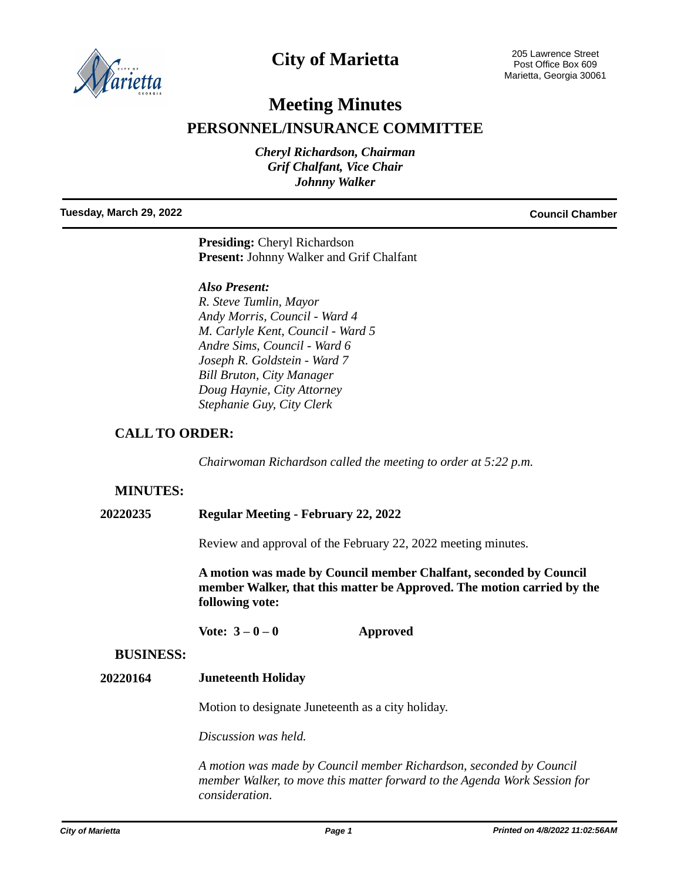

# **City of Marietta**

205 Lawrence Street Post Office Box 609 Marietta, Georgia 30061

# **Meeting Minutes**

# **PERSONNEL/INSURANCE COMMITTEE**

*Cheryl Richardson, Chairman Grif Chalfant, Vice Chair Johnny Walker*

**Tuesday, March 29, 2022 Council Chamber**

**Presiding:** Cheryl Richardson **Present:** Johnny Walker and Grif Chalfant

### *Also Present:*

*R. Steve Tumlin, Mayor Andy Morris, Council - Ward 4 M. Carlyle Kent, Council - Ward 5 Andre Sims, Council - Ward 6 Joseph R. Goldstein - Ward 7 Bill Bruton, City Manager Doug Haynie, City Attorney Stephanie Guy, City Clerk*

# **CALL TO ORDER:**

*Chairwoman Richardson called the meeting to order at 5:22 p.m.*

# **MINUTES:**

**20220235 Regular Meeting - February 22, 2022**

Review and approval of the February 22, 2022 meeting minutes.

**A motion was made by Council member Chalfant, seconded by Council member Walker, that this matter be Approved. The motion carried by the following vote:**

Vote:  $3-0-0$  **Approved** 

### **BUSINESS:**

### **20220164 Juneteenth Holiday**

Motion to designate Juneteenth as a city holiday.

*Discussion was held.*

*A motion was made by Council member Richardson, seconded by Council member Walker, to move this matter forward to the Agenda Work Session for consideration.*